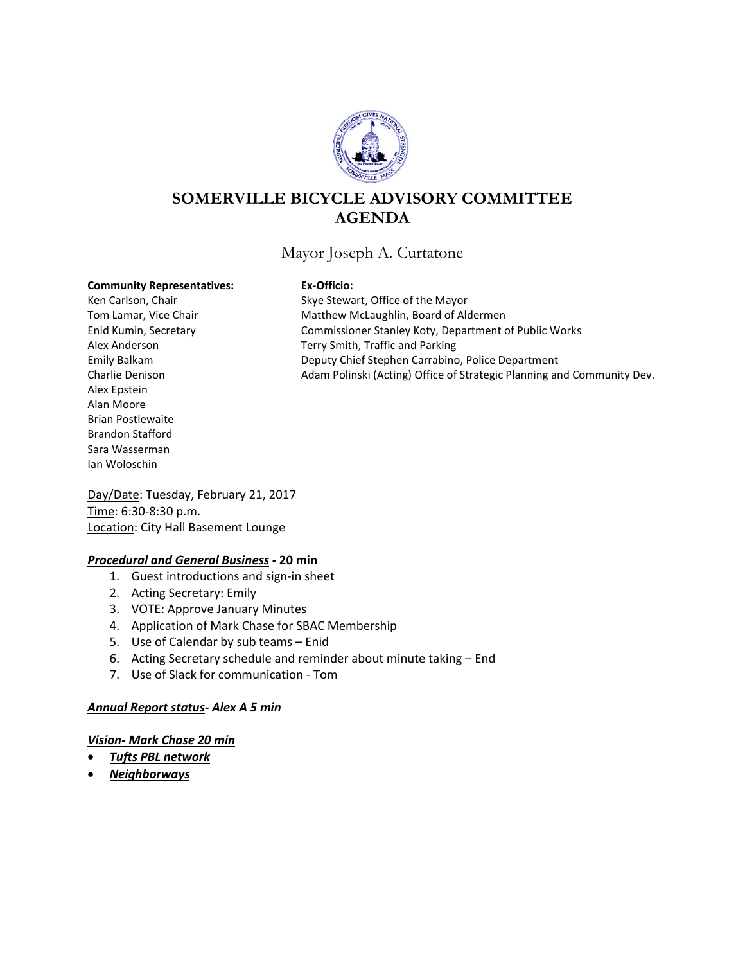

# **SOMERVILLE BICYCLE ADVISORY COMMITTEE AGENDA**

## Mayor Joseph A. Curtatone

#### **Community Representatives: Ex-Officio:**

Alex Epstein Alan Moore Brian Postlewaite Brandon Stafford Sara Wasserman Ian Woloschin

Ken Carlson, Chair Skye Stewart, Office of the Mayor Tom Lamar, Vice Chair **Matthew McLaughlin, Board of Aldermen** Enid Kumin, Secretary Commissioner Stanley Koty, Department of Public Works Alex Anderson Terry Smith, Traffic and Parking Emily Balkam Deputy Chief Stephen Carrabino, Police Department Charlie Denison Adam Polinski (Acting) Office of Strategic Planning and Community Dev.

Day/Date: Tuesday, February 21, 2017 Time: 6:30-8:30 p.m. Location: City Hall Basement Lounge

### *Procedural and General Business -* **20 min**

- 1. Guest introductions and sign-in sheet
- 2. Acting Secretary: Emily
- 3. VOTE: Approve January Minutes
- 4. Application of Mark Chase for SBAC Membership
- 5. Use of Calendar by sub teams Enid
- 6. Acting Secretary schedule and reminder about minute taking End
- 7. Use of Slack for communication Tom

#### *Annual Report status- Alex A 5 min*

#### *Vision- Mark Chase 20 min*

- *Tufts PBL network*
- *Neighborways*